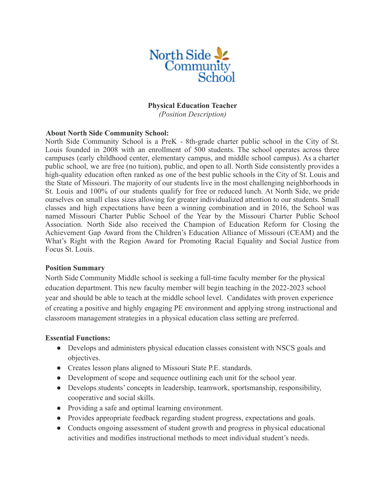

### **Physical Education Teacher**

*(Position Description)*

#### **About North Side Community School:**

North Side Community School is a PreK - 8th-grade charter public school in the City of St. Louis founded in 2008 with an enrollment of 500 students. The school operates across three campuses (early childhood center, elementary campus, and middle school campus). As a charter public school, we are free (no tuition), public, and open to all. North Side consistently provides a high-quality education often ranked as one of the best public schools in the City of St. Louis and the State of Missouri. The majority of our students live in the most challenging neighborhoods in St. Louis and 100% of our students qualify for free or reduced lunch. At North Side, we pride ourselves on small class sizes allowing for greater individualized attention to our students. Small classes and high expectations have been a winning combination and in 2016, the School was named Missouri Charter Public School of the Year by the Missouri Charter Public School Association. North Side also received the Champion of Education Reform for Closing the Achievement Gap Award from the Children's Education Alliance of Missouri (CEAM) and the What's Right with the Region Award for Promoting Racial Equality and Social Justice from Focus St. Louis.

#### **Position Summary**

North Side Community Middle school is seeking a full-time faculty member for the physical education department. This new faculty member will begin teaching in the 2022-2023 school year and should be able to teach at the middle school level. Candidates with proven experience of creating a positive and highly engaging PE environment and applying strong instructional and classroom management strategies in a physical education class setting are preferred.

#### **Essential Functions:**

- Develops and administers physical education classes consistent with NSCS goals and objectives.
- Creates lesson plans aligned to Missouri State P.E. standards.
- Development of scope and sequence outlining each unit for the school year.
- Develops students' concepts in leadership, teamwork, sportsmanship, responsibility, cooperative and social skills.
- Providing a safe and optimal learning environment.
- Provides appropriate feedback regarding student progress, expectations and goals.
- Conducts ongoing assessment of student growth and progress in physical educational activities and modifies instructional methods to meet individual student's needs.